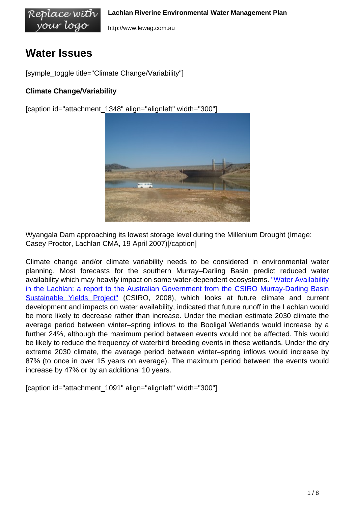http://www.lewag.com.au

# **Water Issues**

[symple\_toggle title="Climate Change/Variability"]

#### **Climate Change/Variability**

[caption id="attachment\_1348" align="alignleft" width="300"]



Wyangala Dam approaching its lowest storage level during the Millenium Drought (Image: Casey Proctor, Lachlan CMA, 19 April 2007)[/caption]

Climate change and/or climate variability needs to be considered in environmental water planning. Most forecasts for the southern Murray–Darling Basin predict reduced water availability which may heavily impact on some water-dependent ecosystems. ["Water Availability](/wp-content/uploads/Water_availability_Lachlan_CSIRO_2008.pdf) [in the Lachlan: a report to the Australian Government from the CSIRO Murray-Darling Basin](/wp-content/uploads/Water_availability_Lachlan_CSIRO_2008.pdf) [Sustainable Yields Project" \(](/wp-content/uploads/Water_availability_Lachlan_CSIRO_2008.pdf)CSIRO, 2008), which looks at future climate and current development and impacts on water availability, indicated that future runoff in the Lachlan would be more likely to decrease rather than increase. Under the median estimate 2030 climate the average period between winter–spring inflows to the Booligal Wetlands would increase by a further 24%, although the maximum period between events would not be affected. This would be likely to reduce the frequency of waterbird breeding events in these wetlands. Under the dry extreme 2030 climate, the average period between winter–spring inflows would increase by 87% (to once in over 15 years on average). The maximum period between the events would increase by 47% or by an additional 10 years.

[caption id="attachment\_1091" align="alignleft" width="300"]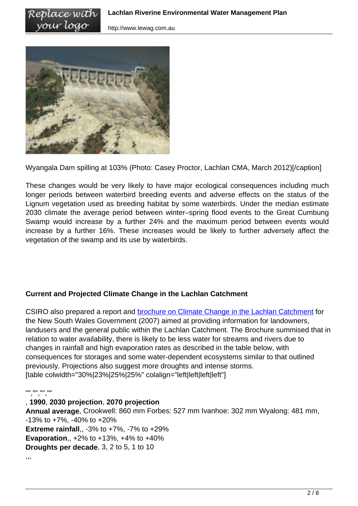

Replace with your logo

Wyangala Dam spilling at 103% (Photo: Casey Proctor, Lachlan CMA, March 2012)[/caption]

These changes would be very likely to have major ecological consequences including much longer periods between waterbird breeding events and adverse effects on the status of the Lignum vegetation used as breeding habitat by some waterbirds. Under the median estimate 2030 climate the average period between winter–spring flood events to the Great Cumbung Swamp would increase by a further 24% and the maximum period between events would increase by a further 16%. These increases would be likely to further adversely affect the vegetation of the swamp and its use by waterbirds.

#### **Current and Projected Climate Change in the Lachlan Catchment**

CSIRO also prepared a report and **[brochure on Climate Change in the Lachlan Catchment](/wp-content/uploads/CSIRO_Climate_Change_Lachlan_Brochure_2007.pdf)** for the New South Wales Government (2007) aimed at providing information for landowners, landusers and the general public within the Lachlan Catchment. The Brochure summised that in relation to water availability, there is likely to be less water for streams and rivers due to changes in rainfall and high evaporation rates as described in the table below, with consequences for storages and some water-dependent ecosystems similar to that outlined previously. Projections also suggest more droughts and intense storms. [table colwidth="30%|23%|25%|25%" colalign="left|left|left|left"]

"", "", ""

#### , **1990**, **2030 projection**, **2070 projection**

**Annual average**, Crookwell: 860 mm Forbes: 527 mm Ivanhoe: 302 mm Wyalong: 481 mm, -13% to +7%, -40% to +20% **Extreme rainfall**,, -3% to +7%, -7% to +29% **Evaporation**,, +2% to +13%, +4% to +40% **Droughts per decade**, 3, 2 to 5, 1 to 10

,,,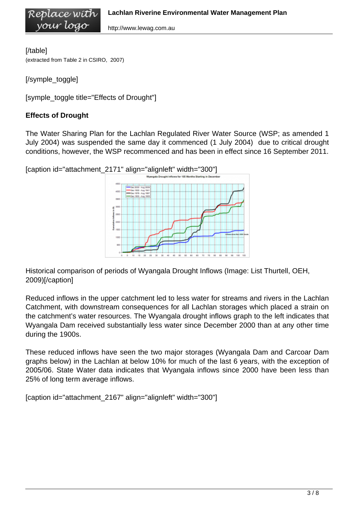http://www.lewag.com.au

[/table] (extracted from Table 2 in CSIRO, 2007)

Replace wíth your logo

[/symple\_toggle]

[symple\_toggle title="Effects of Drought"]

#### **Effects of Drought**

The Water Sharing Plan for the Lachlan Regulated River Water Source (WSP; as amended 1 July 2004) was suspended the same day it commenced (1 July 2004) due to critical drought conditions, however, the WSP recommenced and has been in effect since 16 September 2011.



Historical comparison of periods of Wyangala Drought Inflows (Image: List Thurtell, OEH, 2009)[/caption]

Reduced inflows in the upper catchment led to less water for streams and rivers in the Lachlan Catchment, with downstream consequences for all Lachlan storages which placed a strain on the catchment's water resources. The Wyangala drought inflows graph to the left indicates that Wyangala Dam received substantially less water since December 2000 than at any other time during the 1900s.

These reduced inflows have seen the two major storages (Wyangala Dam and Carcoar Dam graphs below) in the Lachlan at below 10% for much of the last 6 years, with the exception of 2005/06. State Water data indicates that Wyangala inflows since 2000 have been less than 25% of long term average inflows.

[caption id="attachment\_2167" align="alignleft" width="300"]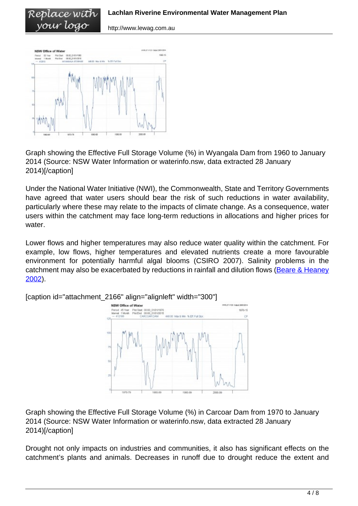http://www.lewag.com.au



Replace with vour logo

Graph showing the Effective Full Storage Volume (%) in Wyangala Dam from 1960 to January 2014 (Source: NSW Water Information or waterinfo.nsw, data extracted 28 January 2014)[/caption]

Under the National Water Initiative (NWI), the Commonwealth, State and Territory Governments have agreed that water users should bear the risk of such reductions in water availability, particularly where these may relate to the impacts of climate change. As a consequence, water users within the catchment may face long-term reductions in allocations and higher prices for water

Lower flows and higher temperatures may also reduce water quality within the catchment. For example, low flows, higher temperatures and elevated nutrients create a more favourable environment for potentially harmful algal blooms (CSIRO 2007). Salinity problems in the catchment may also be exacerbated by reductions in rainfall and dilution flows ([Beare & Heaney](/wp-content/uploads/Beare_and_Heaney_2002.pdf) [2002](/wp-content/uploads/Beare_and_Heaney_2002.pdf)).



[caption id="attachment\_2166" align="alignleft" width="300"]

Graph showing the Effective Full Storage Volume (%) in Carcoar Dam from 1970 to January 2014 (Source: NSW Water Information or waterinfo.nsw, data extracted 28 January 2014)[/caption]

Drought not only impacts on industries and communities, it also has significant effects on the catchment's plants and animals. Decreases in runoff due to drought reduce the extent and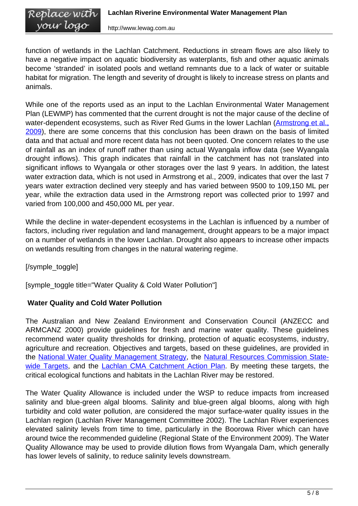function of wetlands in the Lachlan Catchment. Reductions in stream flows are also likely to have a negative impact on aquatic biodiversity as waterplants, fish and other aquatic animals become 'stranded' in isolated pools and wetland remnants due to a lack of water or suitable habitat for migration. The length and severity of drought is likely to increase stress on plants and animals.

While one of the reports used as an input to the Lachlan Environmental Water Management Plan (LEWMP) has commented that the current drought is not the major cause of the decline of water-dependent ecosystems, such as River Red Gums in the lower Lachlan ([Armstrong et al.,](/wp-content/uploads/Armstrong_et_al_2009_Booligal_Report.pdf) [2009](/wp-content/uploads/Armstrong_et_al_2009_Booligal_Report.pdf)), there are some concerns that this conclusion has been drawn on the basis of limited data and that actual and more recent data has not been quoted. One concern relates to the use of rainfall as an index of runoff rather than using actual Wyangala inflow data (see Wyangala drought inflows). This graph indicates that rainfall in the catchment has not translated into significant inflows to Wyangala or other storages over the last 9 years. In addition, the latest water extraction data, which is not used in Armstrong et al., 2009, indicates that over the last 7 years water extraction declined very steeply and has varied between 9500 to 109,150 ML per year, while the extraction data used in the Armstrong report was collected prior to 1997 and varied from 100,000 and 450,000 ML per year.

While the decline in water-dependent ecosystems in the Lachlan is influenced by a number of factors, including river regulation and land management, drought appears to be a major impact on a number of wetlands in the lower Lachlan. Drought also appears to increase other impacts on wetlands resulting from changes in the natural watering regime.

[/symple\_toggle]

[symple\_toggle title="Water Quality & Cold Water Pollution"]

# **Water Quality and Cold Water Pollution**

The Australian and New Zealand Environment and Conservation Council (ANZECC and ARMCANZ 2000) provide guidelines for fresh and marine water quality. These guidelines recommend water quality thresholds for drinking, protection of aquatic ecosystems, industry, agriculture and recreation. Objectives and targets, based on these guidelines, are provided in the [National Water Quality Management Strategy](http://www.environment.gov.au/water/policy-programs/nwqms/), the [Natural Resources Commission State](http://www.nrc.nsw.gov.au/Workwedo/Standardandtargets.aspx)[wide Targets,](http://www.nrc.nsw.gov.au/Workwedo/Standardandtargets.aspx) and the [Lachlan CMA Catchment Action Plan](http://www.lachlan.cma.nsw.gov.au/cap-2012.aspx). By meeting these targets, the critical ecological functions and habitats in the Lachlan River may be restored.

The Water Quality Allowance is included under the WSP to reduce impacts from increased salinity and blue-green algal blooms. Salinity and blue-green algal blooms, along with high turbidity and cold water pollution, are considered the major surface-water quality issues in the Lachlan region (Lachlan River Management Committee 2002). The Lachlan River experiences elevated salinity levels from time to time, particularly in the Boorowa River which can have around twice the recommended guideline (Regional State of the Environment 2009). The Water Quality Allowance may be used to provide dilution flows from Wyangala Dam, which generally has lower levels of salinity, to reduce salinity levels downstream.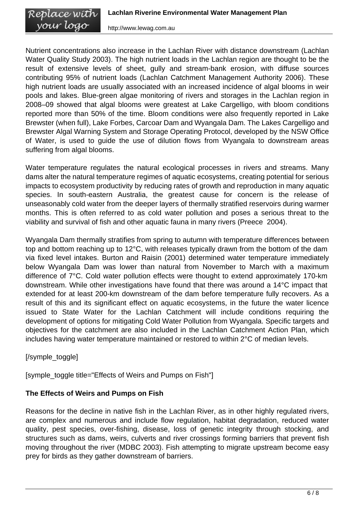#### Replace with **Lachlan Riverine Environmental Water Management Plan** your logo http://www.lewag.com.au

Nutrient concentrations also increase in the Lachlan River with distance downstream (Lachlan Water Quality Study 2003). The high nutrient loads in the Lachlan region are thought to be the result of extensive levels of sheet, gully and stream-bank erosion, with diffuse sources contributing 95% of nutrient loads (Lachlan Catchment Management Authority 2006). These high nutrient loads are usually associated with an increased incidence of algal blooms in weir pools and lakes. Blue-green algae monitoring of rivers and storages in the Lachlan region in 2008–09 showed that algal blooms were greatest at Lake Cargelligo, with bloom conditions reported more than 50% of the time. Bloom conditions were also frequently reported in Lake Brewster (when full), Lake Forbes, Carcoar Dam and Wyangala Dam. The Lakes Cargelligo and Brewster Algal Warning System and Storage Operating Protocol, developed by the NSW Office of Water, is used to guide the use of dilution flows from Wyangala to downstream areas suffering from algal blooms.

Water temperature regulates the natural ecological processes in rivers and streams. Many dams alter the natural temperature regimes of aquatic ecosystems, creating potential for serious impacts to ecosystem productivity by reducing rates of growth and reproduction in many aquatic species. In south-eastern Australia, the greatest cause for concern is the release of unseasonably cold water from the deeper layers of thermally stratified reservoirs during warmer months. This is often referred to as cold water pollution and poses a serious threat to the viability and survival of fish and other aquatic fauna in many rivers (Preece 2004).

Wyangala Dam thermally stratifies from spring to autumn with temperature differences between top and bottom reaching up to 12°C, with releases typically drawn from the bottom of the dam via fixed level intakes. Burton and Raisin (2001) determined water temperature immediately below Wyangala Dam was lower than natural from November to March with a maximum difference of 7°C. Cold water pollution effects were thought to extend approximately 170-km downstream. While other investigations have found that there was around a 14°C impact that extended for at least 200-km downstream of the dam before temperature fully recovers. As a result of this and its significant effect on aquatic ecosystems, in the future the water licence issued to State Water for the Lachlan Catchment will include conditions requiring the development of options for mitigating Cold Water Pollution from Wyangala. Specific targets and objectives for the catchment are also included in the Lachlan Catchment Action Plan, which includes having water temperature maintained or restored to within 2°C of median levels.

[/symple\_toggle]

[symple\_toggle title="Effects of Weirs and Pumps on Fish"]

# **The Effects of Weirs and Pumps on Fish**

Reasons for the decline in native fish in the Lachlan River, as in other highly regulated rivers, are complex and numerous and include flow regulation, habitat degradation, reduced water quality, pest species, over-fishing, disease, loss of genetic integrity through stocking, and structures such as dams, weirs, culverts and river crossings forming barriers that prevent fish moving throughout the river (MDBC 2003). Fish attempting to migrate upstream become easy prey for birds as they gather downstream of barriers.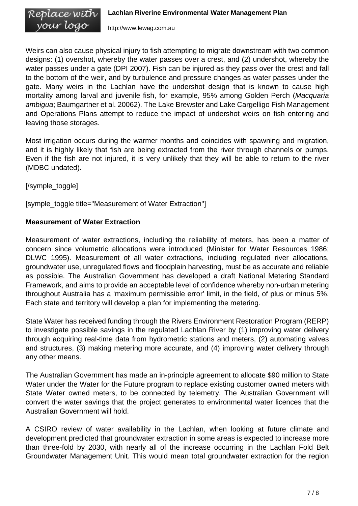Weirs can also cause physical injury to fish attempting to migrate downstream with two common designs: (1) overshot, whereby the water passes over a crest, and (2) undershot, whereby the water passes under a gate (DPI 2007). Fish can be injured as they pass over the crest and fall to the bottom of the weir, and by turbulence and pressure changes as water passes under the gate. Many weirs in the Lachlan have the undershot design that is known to cause high mortality among larval and juvenile fish, for example, 95% among Golden Perch (Macquaria ambigua; Baumgartner et al. 20062). The Lake Brewster and Lake Cargelligo Fish Management and Operations Plans attempt to reduce the impact of undershot weirs on fish entering and leaving those storages.

Most irrigation occurs during the warmer months and coincides with spawning and migration, and it is highly likely that fish are being extracted from the river through channels or pumps. Even if the fish are not injured, it is very unlikely that they will be able to return to the river (MDBC undated).

[/symple\_toggle]

[symple\_toggle title="Measurement of Water Extraction"]

# **Measurement of Water Extraction**

Measurement of water extractions, including the reliability of meters, has been a matter of concern since volumetric allocations were introduced (Minister for Water Resources 1986; DLWC 1995). Measurement of all water extractions, including regulated river allocations, groundwater use, unregulated flows and floodplain harvesting, must be as accurate and reliable as possible. The Australian Government has developed a draft National Metering Standard Framework, and aims to provide an acceptable level of confidence whereby non-urban metering throughout Australia has a 'maximum permissible error' limit, in the field, of plus or minus 5%. Each state and territory will develop a plan for implementing the metering.

State Water has received funding through the Rivers Environment Restoration Program (RERP) to investigate possible savings in the regulated Lachlan River by (1) improving water delivery through acquiring real-time data from hydrometric stations and meters, (2) automating valves and structures, (3) making metering more accurate, and (4) improving water delivery through any other means.

The Australian Government has made an in-principle agreement to allocate \$90 million to State Water under the Water for the Future program to replace existing customer owned meters with State Water owned meters, to be connected by telemetry. The Australian Government will convert the water savings that the project generates to environmental water licences that the Australian Government will hold.

A CSIRO review of water availability in the Lachlan, when looking at future climate and development predicted that groundwater extraction in some areas is expected to increase more than three-fold by 2030, with nearly all of the increase occurring in the Lachlan Fold Belt Groundwater Management Unit. This would mean total groundwater extraction for the region